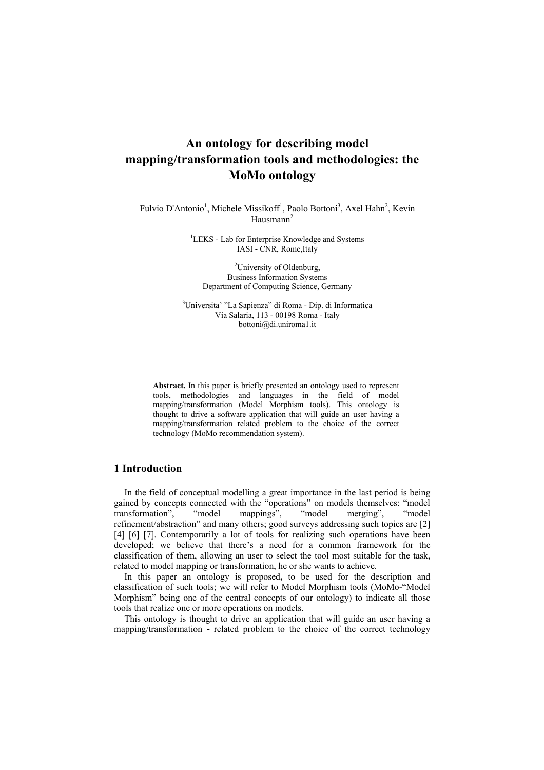# **An ontology for describing model mapping/transformation tools and methodologies: the MoMo ontology**

Fulvio D'Antonio<sup>1</sup>, Michele Missikoff<sup>1</sup>, Paolo Bottoni<sup>3</sup>, Axel Hahn<sup>2</sup>, Kevin Hausmann<sup>2</sup>

> <sup>1</sup>LEKS - Lab for Enterprise Knowledge and Systems IASI - CNR, Rome,Italy

<sup>2</sup>University of Oldenburg, Business Information Systems Department of Computing Science, Germany

3 Universita' "La Sapienza" di Roma - Dip. di Informatica Via Salaria, 113 - 00198 Roma - Italy bottoni@di.uniroma1.it

**Abstract.** In this paper is briefly presented an ontology used to represent tools, methodologies and languages in the field of model mapping/transformation (Model Morphism tools). This ontology is thought to drive a software application that will guide an user having a mapping/transformation related problem to the choice of the correct technology (MoMo recommendation system).

# **1 Introduction**

In the field of conceptual modelling a great importance in the last period is being gained by concepts connected with the "operations" on models themselves: "model<br>transformation", "model mappings", "model merging", "model transformation", "model mappings", "model merging", "model refinement/abstraction" and many others; good surveys addressing such topics are [2] [4] [6] [7]. Contemporarily a lot of tools for realizing such operations have been developed; we believe that there's a need for a common framework for the classification of them, allowing an user to select the tool most suitable for the task, related to model mapping or transformation, he or she wants to achieve.

In this paper an ontology is proposed**,** to be used for the description and classification of such tools; we will refer to Model Morphism tools (MoMo-"Model Morphism" being one of the central concepts of our ontology) to indicate all those tools that realize one or more operations on models.

This ontology is thought to drive an application that will guide an user having a mapping/transformation **-** related problem to the choice of the correct technology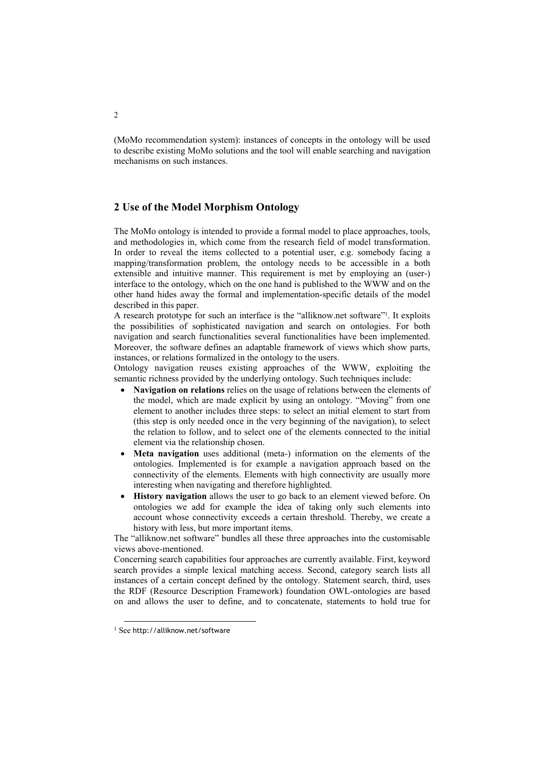(MoMo recommendation system): instances of concepts in the ontology will be used to describe existing MoMo solutions and the tool will enable searching and navigation mechanisms on such instances.

## **2 Use of the Model Morphism Ontology**

The MoMo ontology is intended to provide a formal model to place approaches, tools, and methodologies in, which come from the research field of model transformation. In order to reveal the items collected to a potential user, e.g. somebody facing a mapping/transformation problem, the ontology needs to be accessible in a both extensible and intuitive manner. This requirement is met by employing an (user-) interface to the ontology, which on the one hand is published to the WWW and on the other hand hides away the formal and implementation-specific details of the model described in this paper.

A research prototype for such an interface is the "alliknow.net software["1.](#page-1-0) It exploits the possibilities of sophisticated navigation and search on ontologies. For both navigation and search functionalities several functionalities have been implemented. Moreover, the software defines an adaptable framework of views which show parts, instances, or relations formalized in the ontology to the users.

Ontology navigation reuses existing approaches of the WWW, exploiting the semantic richness provided by the underlying ontology. Such techniques include:

- **Navigation on relations** relies on the usage of relations between the elements of the model, which are made explicit by using an ontology. "Moving" from one element to another includes three steps: to select an initial element to start from (this step is only needed once in the very beginning of the navigation), to select the relation to follow, and to select one of the elements connected to the initial element via the relationship chosen.
- **Meta navigation** uses additional (meta-) information on the elements of the ontologies. Implemented is for example a navigation approach based on the connectivity of the elements. Elements with high connectivity are usually more interesting when navigating and therefore highlighted.
- **History navigation** allows the user to go back to an element viewed before. On ontologies we add for example the idea of taking only such elements into account whose connectivity exceeds a certain threshold. Thereby, we create a history with less, but more important items.

The "alliknow.net software" bundles all these three approaches into the customisable views above-mentioned.

Concerning search capabilities four approaches are currently available. First, keyword search provides a simple lexical matching access. Second, category search lists all instances of a certain concept defined by the ontology. Statement search, third, uses the RDF (Resource Description Framework) foundation OWL-ontologies are based on and allows the user to define, and to concatenate, statements to hold true for

<span id="page-1-0"></span> <sup>1</sup> See http://alliknow.net/software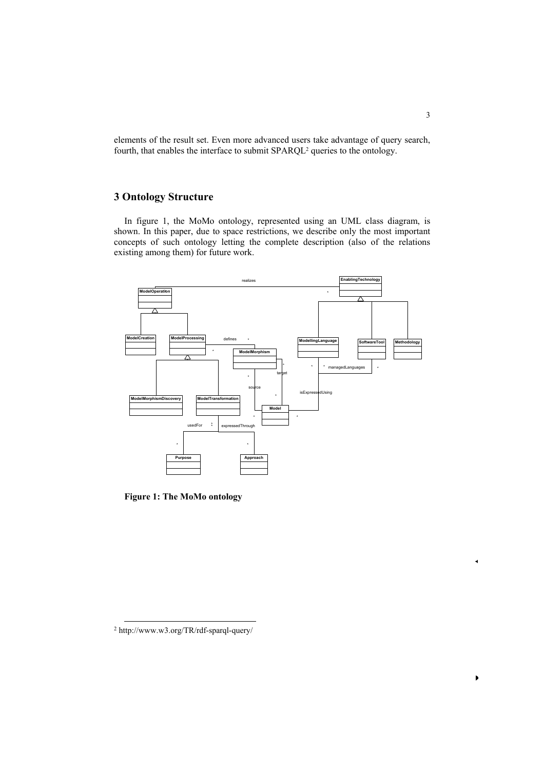elements of the result set. Even more advanced users take advantage of query search, fourth, that enables the interface to submit SPARQL<sup>2</sup> queries to the ontology.

# **3 Ontology Structure**

In figure 1, the MoMo ontology, represented using an UML class diagram, is shown. In this paper, due to space restrictions, we describe only the most important concepts of such ontology letting the complete description (also of the relations existing among them) for future work.



**Figure 1: The MoMo ontology** 

 $\ddot{ }$ 

<span id="page-2-0"></span> <sup>2</sup> http://www.w3.org/TR/rdf-sparql-query/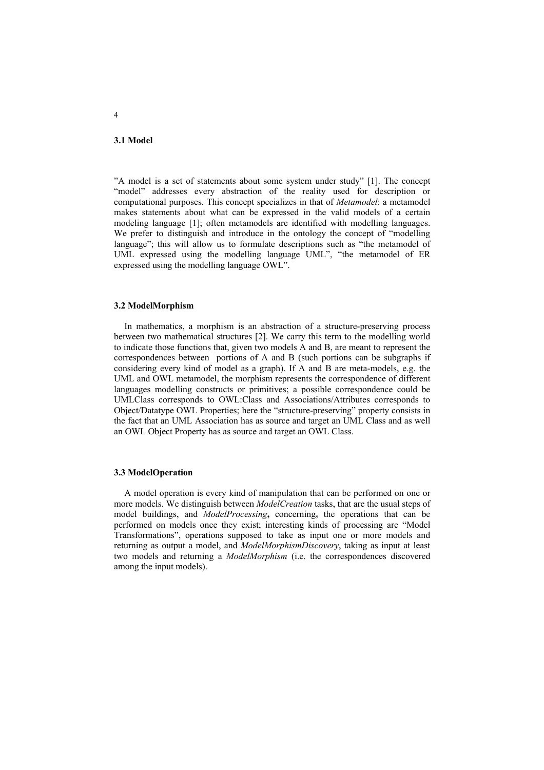#### **3.1 Model**

"A model is a set of statements about some system under study" [1]. The concept "model" addresses every abstraction of the reality used for description or computational purposes. This concept specializes in that of *Metamodel*: a metamodel makes statements about what can be expressed in the valid models of a certain modeling language [1]; often metamodels are identified with modelling languages. We prefer to distinguish and introduce in the ontology the concept of "modelling language"; this will allow us to formulate descriptions such as "the metamodel of UML expressed using the modelling language UML", "the metamodel of ER expressed using the modelling language OWL".

### **3.2 ModelMorphism**

In mathematics, a morphism is an abstraction of a structure-preserving process between two mathematical structures [2]. We carry this term to the modelling world to indicate those functions that, given two models A and B, are meant to represent the correspondences between portions of A and B (such portions can be subgraphs if considering every kind of model as a graph). If A and B are meta-models, e.g. the UML and OWL metamodel, the morphism represents the correspondence of different languages modelling constructs or primitives; a possible correspondence could be UMLClass corresponds to OWL:Class and Associations/Attributes corresponds to Object/Datatype OWL Properties; here the "structure-preserving" property consists in the fact that an UML Association has as source and target an UML Class and as well an OWL Object Property has as source and target an OWL Class.

#### **3.3 ModelOperation**

A model operation is every kind of manipulation that can be performed on one or more models. We distinguish between *ModelCreation* tasks, that are the usual steps of model buildings, and *ModelProcessing***,** concerning, the operations that can be performed on models once they exist; interesting kinds of processing are "Model Transformations", operations supposed to take as input one or more models and returning as output a model, and *ModelMorphismDiscovery*, taking as input at least two models and returning a *ModelMorphism* (i.e. the correspondences discovered among the input models).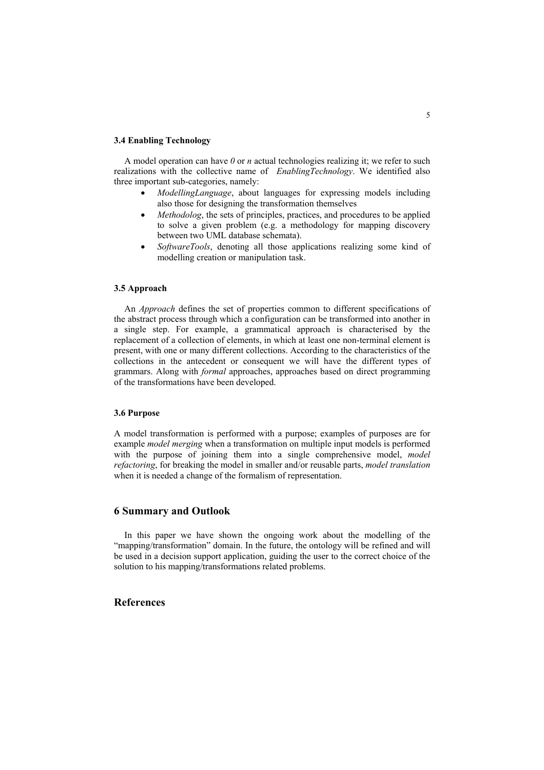#### **3.4 Enabling Technology**

A model operation can have *0* or *n* actual technologies realizing it; we refer to such realizations with the collective name of *EnablingTechnology*. We identified also three important sub-categories, namely:

- *ModellingLanguage*, about languages for expressing models including also those for designing the transformation themselves
- *Methodolog*, the sets of principles, practices, and procedures to be applied to solve a given problem (e.g. a methodology for mapping discovery between two UML database schemata).
- *SoftwareTools*, denoting all those applications realizing some kind of modelling creation or manipulation task.

### **3.5 Approach**

An *Approach* defines the set of properties common to different specifications of the abstract process through which a configuration can be transformed into another in a single step. For example, a grammatical approach is characterised by the replacement of a collection of elements, in which at least one non-terminal element is present, with one or many different collections. According to the characteristics of the collections in the antecedent or consequent we will have the different types of grammars. Along with *formal* approaches, approaches based on direct programming of the transformations have been developed.

#### **3.6 Purpose**

A model transformation is performed with a purpose; examples of purposes are for example *model merging* when a transformation on multiple input models is performed with the purpose of joining them into a single comprehensive model, *model refactoring*, for breaking the model in smaller and/or reusable parts, *model translation* when it is needed a change of the formalism of representation.

# **6 Summary and Outlook**

In this paper we have shown the ongoing work about the modelling of the "mapping/transformation" domain. In the future, the ontology will be refined and will be used in a decision support application, guiding the user to the correct choice of the solution to his mapping/transformations related problems.

### **References**